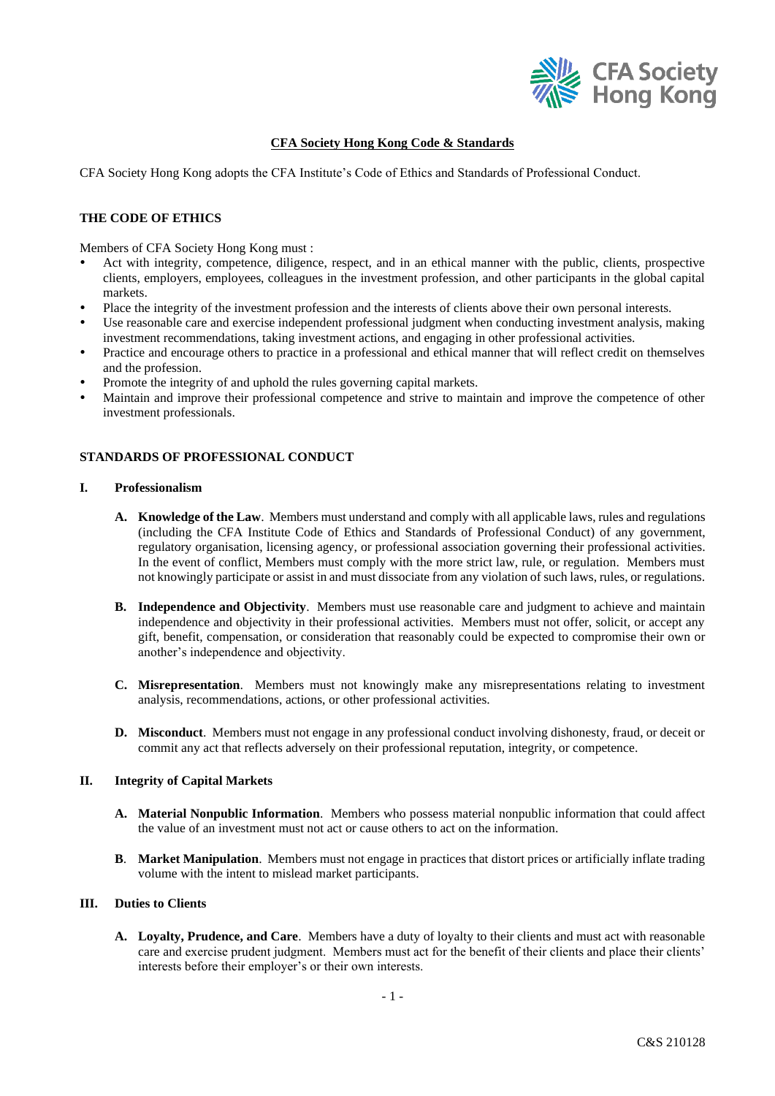

# **CFA Society Hong Kong Code & Standards**

CFA Society Hong Kong adopts the CFA Institute's Code of Ethics and Standards of Professional Conduct.

### **THE CODE OF ETHICS**

Members of CFA Society Hong Kong must :

- Act with integrity, competence, diligence, respect, and in an ethical manner with the public, clients, prospective clients, employers, employees, colleagues in the investment profession, and other participants in the global capital markets.
- Place the integrity of the investment profession and the interests of clients above their own personal interests.
- Use reasonable care and exercise independent professional judgment when conducting investment analysis, making investment recommendations, taking investment actions, and engaging in other professional activities.
- Practice and encourage others to practice in a professional and ethical manner that will reflect credit on themselves and the profession.
- Promote the integrity of and uphold the rules governing capital markets.
- Maintain and improve their professional competence and strive to maintain and improve the competence of other investment professionals.

## **STANDARDS OF PROFESSIONAL CONDUCT**

## **I. Professionalism**

- **A. Knowledge of the Law**. Members must understand and comply with all applicable laws, rules and regulations (including the CFA Institute Code of Ethics and Standards of Professional Conduct) of any government, regulatory organisation, licensing agency, or professional association governing their professional activities. In the event of conflict, Members must comply with the more strict law, rule, or regulation. Members must not knowingly participate or assist in and must dissociate from any violation of such laws, rules, or regulations.
- **B. Independence and Objectivity**. Members must use reasonable care and judgment to achieve and maintain independence and objectivity in their professional activities. Members must not offer, solicit, or accept any gift, benefit, compensation, or consideration that reasonably could be expected to compromise their own or another's independence and objectivity.
- **C. Misrepresentation**. Members must not knowingly make any misrepresentations relating to investment analysis, recommendations, actions, or other professional activities.
- **D. Misconduct**. Members must not engage in any professional conduct involving dishonesty, fraud, or deceit or commit any act that reflects adversely on their professional reputation, integrity, or competence.

## **II. Integrity of Capital Markets**

- **A. Material Nonpublic Information**. Members who possess material nonpublic information that could affect the value of an investment must not act or cause others to act on the information.
- **B**. **Market Manipulation**. Members must not engage in practices that distort prices or artificially inflate trading volume with the intent to mislead market participants.

### **III. Duties to Clients**

**A. Loyalty, Prudence, and Care**. Members have a duty of loyalty to their clients and must act with reasonable care and exercise prudent judgment. Members must act for the benefit of their clients and place their clients' interests before their employer's or their own interests.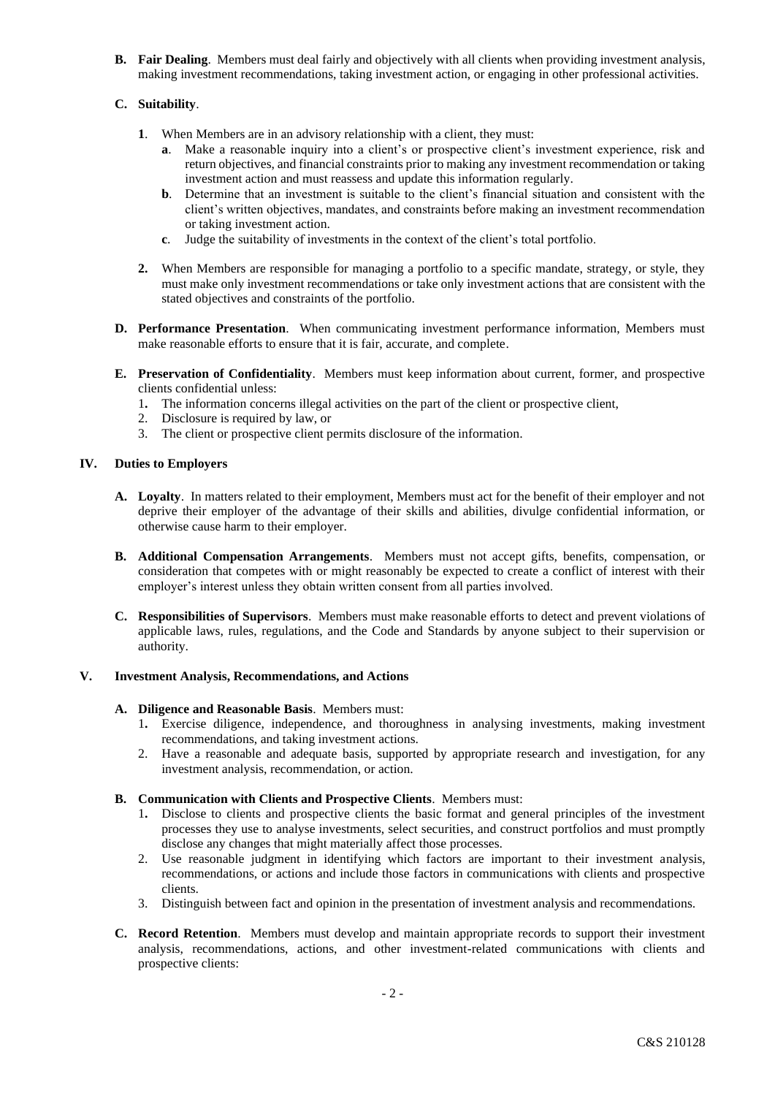**B. Fair Dealing**. Members must deal fairly and objectively with all clients when providing investment analysis, making investment recommendations, taking investment action, or engaging in other professional activities.

# **C. Suitability**.

- **1**. When Members are in an advisory relationship with a client, they must:
	- **a**. Make a reasonable inquiry into a client's or prospective client's investment experience, risk and return objectives, and financial constraints prior to making any investment recommendation or taking investment action and must reassess and update this information regularly.
	- **b.** Determine that an investment is suitable to the client's financial situation and consistent with the client's written objectives, mandates, and constraints before making an investment recommendation or taking investment action.
	- **c**. Judge the suitability of investments in the context of the client's total portfolio.
- **2.** When Members are responsible for managing a portfolio to a specific mandate, strategy, or style, they must make only investment recommendations or take only investment actions that are consistent with the stated objectives and constraints of the portfolio.
- **D. Performance Presentation**. When communicating investment performance information, Members must make reasonable efforts to ensure that it is fair, accurate, and complete.
- **E. Preservation of Confidentiality**. Members must keep information about current, former, and prospective clients confidential unless:
	- 1**.** The information concerns illegal activities on the part of the client or prospective client,
	- 2. Disclosure is required by law, or
	- 3. The client or prospective client permits disclosure of the information.

# **IV. Duties to Employers**

- **A. Loyalty**. In matters related to their employment, Members must act for the benefit of their employer and not deprive their employer of the advantage of their skills and abilities, divulge confidential information, or otherwise cause harm to their employer.
- **B. Additional Compensation Arrangements**. Members must not accept gifts, benefits, compensation, or consideration that competes with or might reasonably be expected to create a conflict of interest with their employer's interest unless they obtain written consent from all parties involved.
- **C. Responsibilities of Supervisors**. Members must make reasonable efforts to detect and prevent violations of applicable laws, rules, regulations, and the Code and Standards by anyone subject to their supervision or authority.

# **V. Investment Analysis, Recommendations, and Actions**

## **A. Diligence and Reasonable Basis**. Members must:

- 1**.** Exercise diligence, independence, and thoroughness in analysing investments, making investment recommendations, and taking investment actions.
- 2. Have a reasonable and adequate basis, supported by appropriate research and investigation, for any investment analysis, recommendation, or action.
- **B. Communication with Clients and Prospective Clients**. Members must:
	- 1**.** Disclose to clients and prospective clients the basic format and general principles of the investment processes they use to analyse investments, select securities, and construct portfolios and must promptly disclose any changes that might materially affect those processes.
	- 2. Use reasonable judgment in identifying which factors are important to their investment analysis, recommendations, or actions and include those factors in communications with clients and prospective clients.
	- 3. Distinguish between fact and opinion in the presentation of investment analysis and recommendations.
- **C. Record Retention**. Members must develop and maintain appropriate records to support their investment analysis, recommendations, actions, and other investment-related communications with clients and prospective clients: